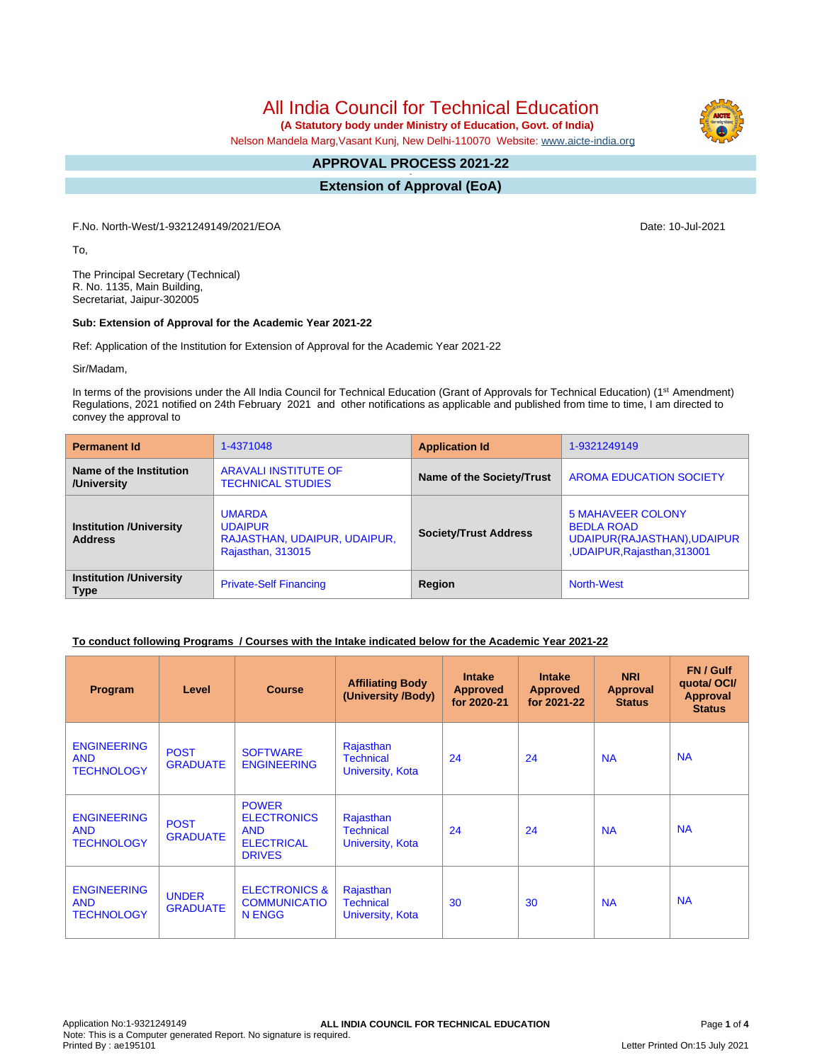All India Council for Technical Education

 **(A Statutory body under Ministry of Education, Govt. of India)**

Nelson Mandela Marg,Vasant Kunj, New Delhi-110070 Website: [www.aicte-india.org](http://www.aicte-india.org)

#### **APPROVAL PROCESS 2021-22 -**

**Extension of Approval (EoA)**

F.No. North-West/1-9321249149/2021/EOA Date: 10-Jul-2021

To,

The Principal Secretary (Technical) R. No. 1135, Main Building, Secretariat, Jaipur-302005

## **Sub: Extension of Approval for the Academic Year 2021-22**

Ref: Application of the Institution for Extension of Approval for the Academic Year 2021-22

Sir/Madam,

In terms of the provisions under the All India Council for Technical Education (Grant of Approvals for Technical Education) (1<sup>st</sup> Amendment) Regulations, 2021 notified on 24th February 2021 and other notifications as applicable and published from time to time, I am directed to convey the approval to

| <b>Permanent Id</b>                              | 1-4371048                                                                                                            | <b>Application Id</b>     | 1-9321249149                                                                                                |  |
|--------------------------------------------------|----------------------------------------------------------------------------------------------------------------------|---------------------------|-------------------------------------------------------------------------------------------------------------|--|
| Name of the Institution<br>/University           | <b>ARAVALI INSTITUTE OF</b><br><b>TECHNICAL STUDIES</b>                                                              | Name of the Society/Trust | <b>AROMA EDUCATION SOCIETY</b>                                                                              |  |
| <b>Institution /University</b><br><b>Address</b> | <b>UMARDA</b><br><b>UDAIPUR</b><br><b>Society/Trust Address</b><br>RAJASTHAN, UDAIPUR, UDAIPUR,<br>Rajasthan, 313015 |                           | <b>5 MAHAVEER COLONY</b><br><b>BEDLA ROAD</b><br>UDAIPUR(RAJASTHAN), UDAIPUR<br>,UDAIPUR, Rajasthan, 313001 |  |
| <b>Institution /University</b><br><b>Type</b>    | <b>Private-Self Financing</b>                                                                                        | Region                    | <b>North-West</b>                                                                                           |  |

## **To conduct following Programs / Courses with the Intake indicated below for the Academic Year 2021-22**

| Program                                               | Level                           | <b>Course</b>                                                                          | <b>Affiliating Body</b><br>(University /Body)     | <b>Intake</b><br><b>Approved</b><br>for 2020-21 | <b>Intake</b><br><b>Approved</b><br>for 2021-22 | <b>NRI</b><br>Approval<br><b>Status</b> | FN / Gulf<br>quotal OCI/<br><b>Approval</b><br><b>Status</b> |
|-------------------------------------------------------|---------------------------------|----------------------------------------------------------------------------------------|---------------------------------------------------|-------------------------------------------------|-------------------------------------------------|-----------------------------------------|--------------------------------------------------------------|
| <b>ENGINEERING</b><br><b>AND</b><br><b>TECHNOLOGY</b> | <b>POST</b><br><b>GRADUATE</b>  | <b>SOFTWARE</b><br><b>ENGINEERING</b>                                                  | Rajasthan<br><b>Technical</b><br>University, Kota | 24                                              | 24                                              | <b>NA</b>                               | <b>NA</b>                                                    |
| <b>ENGINEERING</b><br><b>AND</b><br><b>TECHNOLOGY</b> | <b>POST</b><br><b>GRADUATE</b>  | <b>POWER</b><br><b>ELECTRONICS</b><br><b>AND</b><br><b>ELECTRICAL</b><br><b>DRIVES</b> | Rajasthan<br><b>Technical</b><br>University, Kota | 24                                              | 24                                              | <b>NA</b>                               | <b>NA</b>                                                    |
| <b>ENGINEERING</b><br><b>AND</b><br><b>TECHNOLOGY</b> | <b>UNDER</b><br><b>GRADUATE</b> | <b>ELECTRONICS &amp;</b><br><b>COMMUNICATIO</b><br>N ENGG                              | Rajasthan<br><b>Technical</b><br>University, Kota | 30                                              | 30                                              | <b>NA</b>                               | <b>NA</b>                                                    |

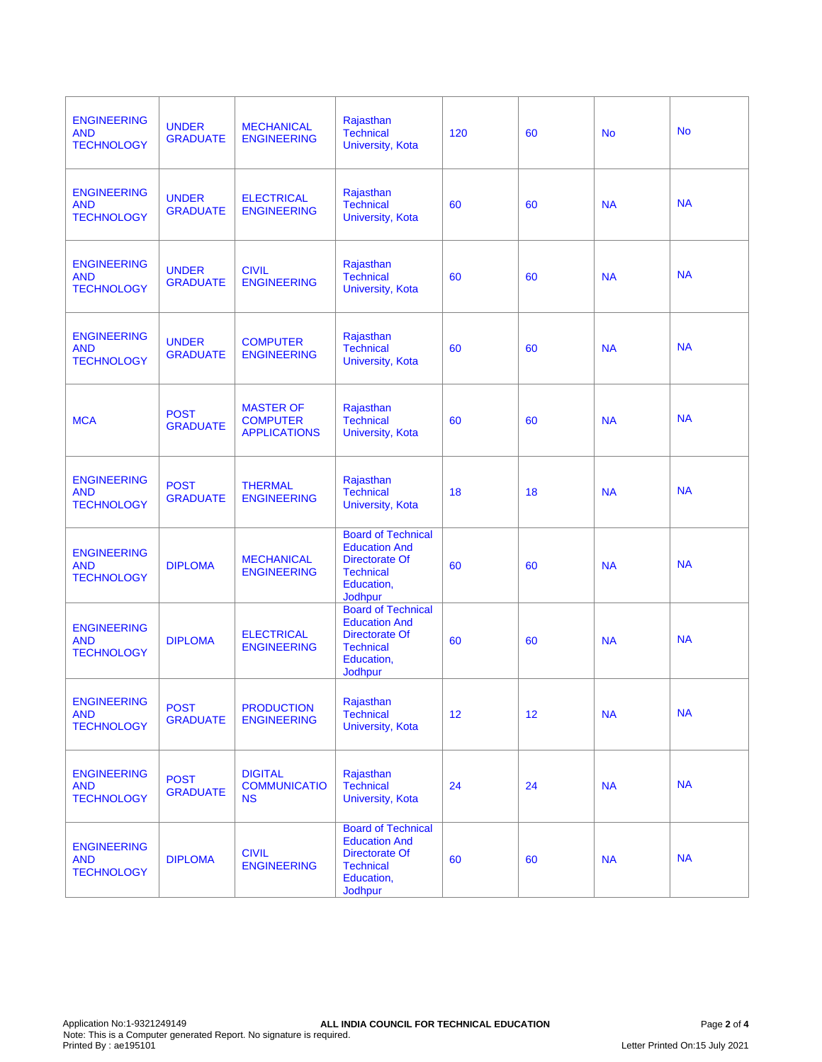| <b>ENGINEERING</b><br><b>AND</b><br><b>TECHNOLOGY</b> | <b>UNDER</b><br><b>GRADUATE</b> | <b>MECHANICAL</b><br><b>ENGINEERING</b>                    | Rajasthan<br><b>Technical</b><br>University, Kota                                                                       | 120 | 60              | <b>No</b> | <b>No</b> |
|-------------------------------------------------------|---------------------------------|------------------------------------------------------------|-------------------------------------------------------------------------------------------------------------------------|-----|-----------------|-----------|-----------|
| <b>ENGINEERING</b><br><b>AND</b><br><b>TECHNOLOGY</b> | <b>UNDER</b><br><b>GRADUATE</b> | <b>ELECTRICAL</b><br><b>ENGINEERING</b>                    | Rajasthan<br><b>Technical</b><br>University, Kota                                                                       | 60  | 60              | <b>NA</b> | <b>NA</b> |
| <b>ENGINEERING</b><br><b>AND</b><br><b>TECHNOLOGY</b> | <b>UNDER</b><br><b>GRADUATE</b> | <b>CIVIL</b><br><b>ENGINEERING</b>                         | Rajasthan<br><b>Technical</b><br>University, Kota                                                                       | 60  | 60              | <b>NA</b> | <b>NA</b> |
| <b>ENGINEERING</b><br><b>AND</b><br><b>TECHNOLOGY</b> | <b>UNDER</b><br><b>GRADUATE</b> | <b>COMPUTER</b><br><b>ENGINEERING</b>                      | Rajasthan<br><b>Technical</b><br>University, Kota                                                                       | 60  | 60              | <b>NA</b> | <b>NA</b> |
| <b>MCA</b>                                            | <b>POST</b><br><b>GRADUATE</b>  | <b>MASTER OF</b><br><b>COMPUTER</b><br><b>APPLICATIONS</b> | Rajasthan<br><b>Technical</b><br>University, Kota                                                                       | 60  | 60              | <b>NA</b> | <b>NA</b> |
| <b>ENGINEERING</b><br><b>AND</b><br><b>TECHNOLOGY</b> | <b>POST</b><br><b>GRADUATE</b>  | <b>THERMAL</b><br><b>ENGINEERING</b>                       | Rajasthan<br><b>Technical</b><br>University, Kota                                                                       | 18  | 18              | <b>NA</b> | <b>NA</b> |
| <b>ENGINEERING</b><br><b>AND</b><br><b>TECHNOLOGY</b> | <b>DIPLOMA</b>                  | <b>MECHANICAL</b><br><b>ENGINEERING</b>                    | <b>Board of Technical</b><br><b>Education And</b><br>Directorate Of<br><b>Technical</b><br>Education,<br>Jodhpur        | 60  | 60              | <b>NA</b> | <b>NA</b> |
| <b>ENGINEERING</b><br><b>AND</b><br><b>TECHNOLOGY</b> | <b>DIPLOMA</b>                  | <b>ELECTRICAL</b><br><b>ENGINEERING</b>                    | <b>Board of Technical</b><br><b>Education And</b><br><b>Directorate Of</b><br><b>Technical</b><br>Education,<br>Jodhpur | 60  | 60              | <b>NA</b> | <b>NA</b> |
| <b>ENGINEERING</b><br><b>AND</b><br><b>TECHNOLOGY</b> | <b>POST</b><br><b>GRADUATE</b>  | <b>PRODUCTION</b><br><b>ENGINEERING</b>                    | Rajasthan<br><b>Technical</b><br>University, Kota                                                                       | 12  | 12 <sup>2</sup> | <b>NA</b> | <b>NA</b> |
| <b>ENGINEERING</b><br><b>AND</b><br><b>TECHNOLOGY</b> | <b>POST</b><br><b>GRADUATE</b>  | <b>DIGITAL</b><br><b>COMMUNICATIO</b><br><b>NS</b>         | Rajasthan<br><b>Technical</b><br>University, Kota                                                                       | 24  | 24              | <b>NA</b> | <b>NA</b> |
| <b>ENGINEERING</b><br><b>AND</b><br><b>TECHNOLOGY</b> | <b>DIPLOMA</b>                  | <b>CIVIL</b><br><b>ENGINEERING</b>                         | <b>Board of Technical</b><br><b>Education And</b><br>Directorate Of<br><b>Technical</b><br>Education,<br>Jodhpur        | 60  | 60              | <b>NA</b> | <b>NA</b> |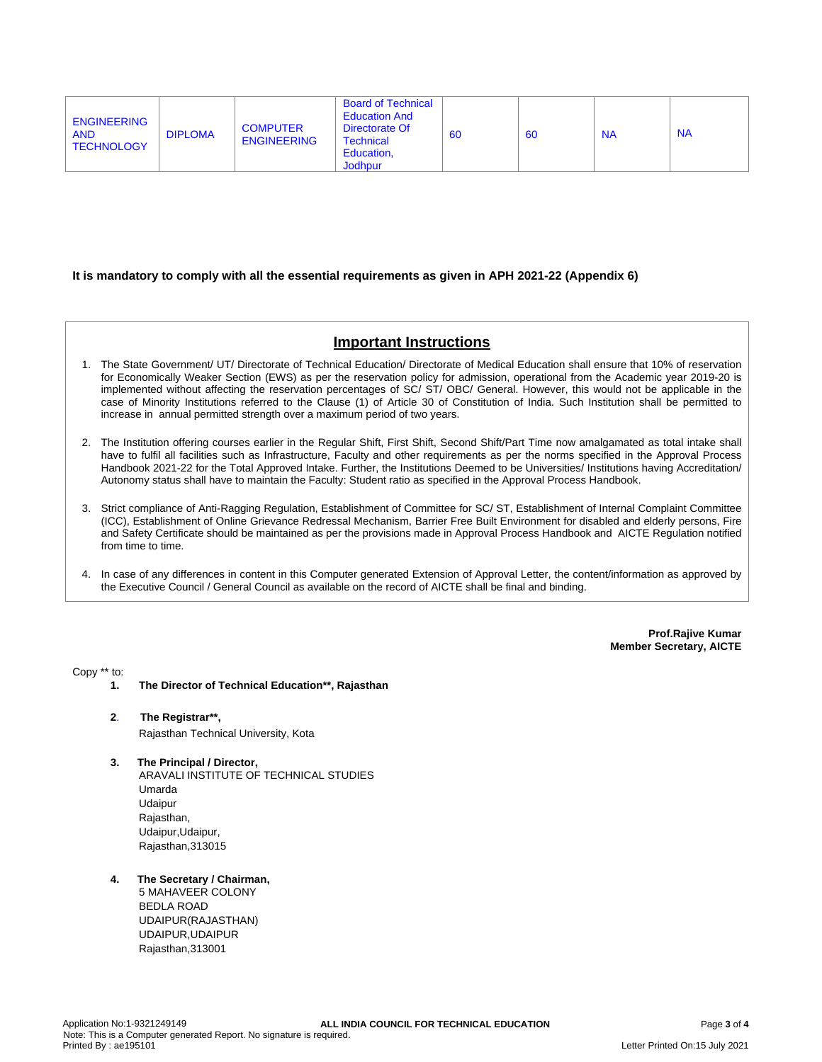| <b>Board of Technical</b><br><b>Education And</b><br><b>ENGINEERING</b><br><b>COMPUTER</b><br>Directorate Of<br><b>DIPLOMA</b><br><b>AND</b><br><b>ENGINEERING</b><br>Technical<br><b>TECHNOLOGY</b><br>Education,<br><b>Jodhpur</b> | 60 | 60 | <b>NA</b> | <b>NA</b> |
|--------------------------------------------------------------------------------------------------------------------------------------------------------------------------------------------------------------------------------------|----|----|-----------|-----------|
|--------------------------------------------------------------------------------------------------------------------------------------------------------------------------------------------------------------------------------------|----|----|-----------|-----------|

### **It is mandatory to comply with all the essential requirements as given in APH 2021-22 (Appendix 6)**

# **Important Instructions**

- 1. The State Government/ UT/ Directorate of Technical Education/ Directorate of Medical Education shall ensure that 10% of reservation for Economically Weaker Section (EWS) as per the reservation policy for admission, operational from the Academic year 2019-20 is implemented without affecting the reservation percentages of SC/ ST/ OBC/ General. However, this would not be applicable in the case of Minority Institutions referred to the Clause (1) of Article 30 of Constitution of India. Such Institution shall be permitted to increase in annual permitted strength over a maximum period of two years.
- 2. The Institution offering courses earlier in the Regular Shift, First Shift, Second Shift/Part Time now amalgamated as total intake shall have to fulfil all facilities such as Infrastructure, Faculty and other requirements as per the norms specified in the Approval Process Handbook 2021-22 for the Total Approved Intake. Further, the Institutions Deemed to be Universities/ Institutions having Accreditation/ Autonomy status shall have to maintain the Faculty: Student ratio as specified in the Approval Process Handbook.
- 3. Strict compliance of Anti-Ragging Regulation, Establishment of Committee for SC/ ST, Establishment of Internal Complaint Committee (ICC), Establishment of Online Grievance Redressal Mechanism, Barrier Free Built Environment for disabled and elderly persons, Fire and Safety Certificate should be maintained as per the provisions made in Approval Process Handbook and AICTE Regulation notified from time to time.
- 4. In case of any differences in content in this Computer generated Extension of Approval Letter, the content/information as approved by the Executive Council / General Council as available on the record of AICTE shall be final and binding.

**Prof.Rajive Kumar Member Secretary, AICTE**

Copy \*\* to:

- **1. The Director of Technical Education\*\*, Rajasthan**
- **2**. **The Registrar\*\*,** Rajasthan Technical University, Kota
- **3. The Principal / Director,** ARAVALI INSTITUTE OF TECHNICAL STUDIES Umarda Udaipur Rajasthan, Udaipur,Udaipur, Rajasthan,313015
- **4. The Secretary / Chairman,**

5 MAHAVEER COLONY BEDLA ROAD UDAIPUR(RAJASTHAN) UDAIPUR,UDAIPUR Rajasthan,313001